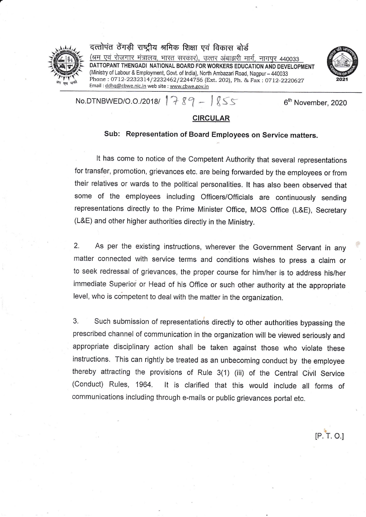

a

दत्तोपंत ठेंगड़ी राष्ट्रीय श्रमिक शिक्षा एवं विकास बोर्ड <u>(श्रम एवं रोजगार मंत्रालय, भारत सरकार), उत्तर अंबाझरी मार्ग, नागपुर 440033</u> DATTOPANT THENGADI NATIONAL BOARD FOR WORKERS EDUCATION AND DEVELOPMENT (Ministry of Labour & Employment, Govt. of India), North Ambazari Road, Nagpur - 440033 Phone: 0712-2232314/2232462/2244756 (Ext. 202), Ph. & Fax: 0712-2220627 Email : ddhq@cbwe.nic.in web site : www,cbwe.gov.in



No.DTNBWED/O.O./2018/  $789 - 855$  6<sup>th</sup> November, 2020

 $IP.\overline{T}$ . O.I

## CIRCULAR

## sub: Representation of Board Employees on service matters.

It has come to notice of the Competent Authority that several representations for transfer, promotion, grievances etc. are being forwarded by the employees or from their relatives or wards to the political personalities, lt has also been observed that some of the employees including Officers/Officials are continuously sending representations directly to the Prime Minister Office, MOS Office (L&E), Secretary (L&E) and other higher authorities directly in the Ministry.

2. As per the existing instructions, wherever the Government Servant in any matter connected with service terms and conditions wishes to press a claim or to seek redressal of grievances, the proper course for him/her is to address his/her immediate Superior or Head of his Office or such other authority at the appropriate Ievel, who is competent to deal with the matter in the organization.

3. Such submission of representations directly to other authorities bypassing the prescribed channel of communication in the organization will be viewed seriously and appropriate disciplinary action shall be taken against those who violate these instructions. This can rightly be treated as an unbecoming conduct by the employee thereby attracting the provisions of Rule 3(1) (iii) of the Central Civil Service (Conduct) Rules, 1964. It is clarified that this would include all forms of communications including through e-mails or public grievances portal etc.